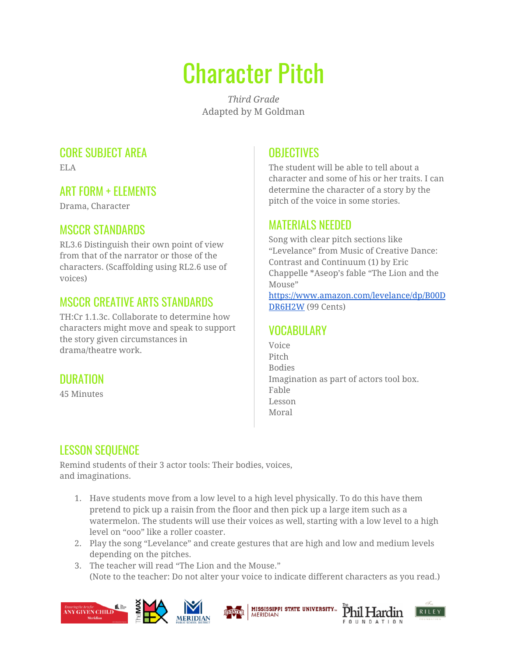# Character Pitch

*Third Grade* Adapted by M Goldman

#### CORE SUBJECT AREA

ELA

#### ART FORM + ELEMENTS

Drama, Character

## MSCCR STANDARDS

RL3.6 Distinguish their own point of view from that of the narrator or those of the characters. (Scaffolding using RL2.6 use of voices)

## MSCCR CREATIVE ARTS STANDARDS

TH:Cr 1.1.3c. Collaborate to determine how characters might move and speak to support the story given circumstances in drama/theatre work.

## DURATION

45 Minutes

# **OBJECTIVES**

The student will be able to tell about a character and some of his or her traits. I can determine the character of a story by the pitch of the voice in some stories.

#### MATERIALS NEEDED

Song with clear pitch sections like "Levelance" from Music of Creative Dance: Contrast and Continuum (1) by Eric Chappelle \*Aseop's fable "The Lion and the Mouse"

[https://www.amazon.com/levelance/dp/B00D](https://www.amazon.com/levelance/dp/B00DDR6H2W) [DR6H2W](https://www.amazon.com/levelance/dp/B00DDR6H2W) (99 Cents)

## VOCABULARY

Voice Pitch Bodies Imagination as part of actors tool box. Fable Lesson Moral

RILEY

Phil Hardin

**QUNDATION** 

# LESSON SEQUENCE

Remind students of their 3 actor tools: Their bodies, voices, and imaginations.

- 1. Have students move from a low level to a high level physically. To do this have them pretend to pick up a raisin from the floor and then pick up a large item such as a watermelon. The students will use their voices as well, starting with a low level to a high level on "ooo" like a roller coaster.
- 2. Play the song "Levelance" and create gestures that are high and low and medium levels depending on the pitches.
- 3. The teacher will read "The Lion and the Mouse." (Note to the teacher: Do not alter your voice to indicate different characters as you read.)

**MERIDIAN** 

**MISSISSIPPI STATE UNIVERSITY...**